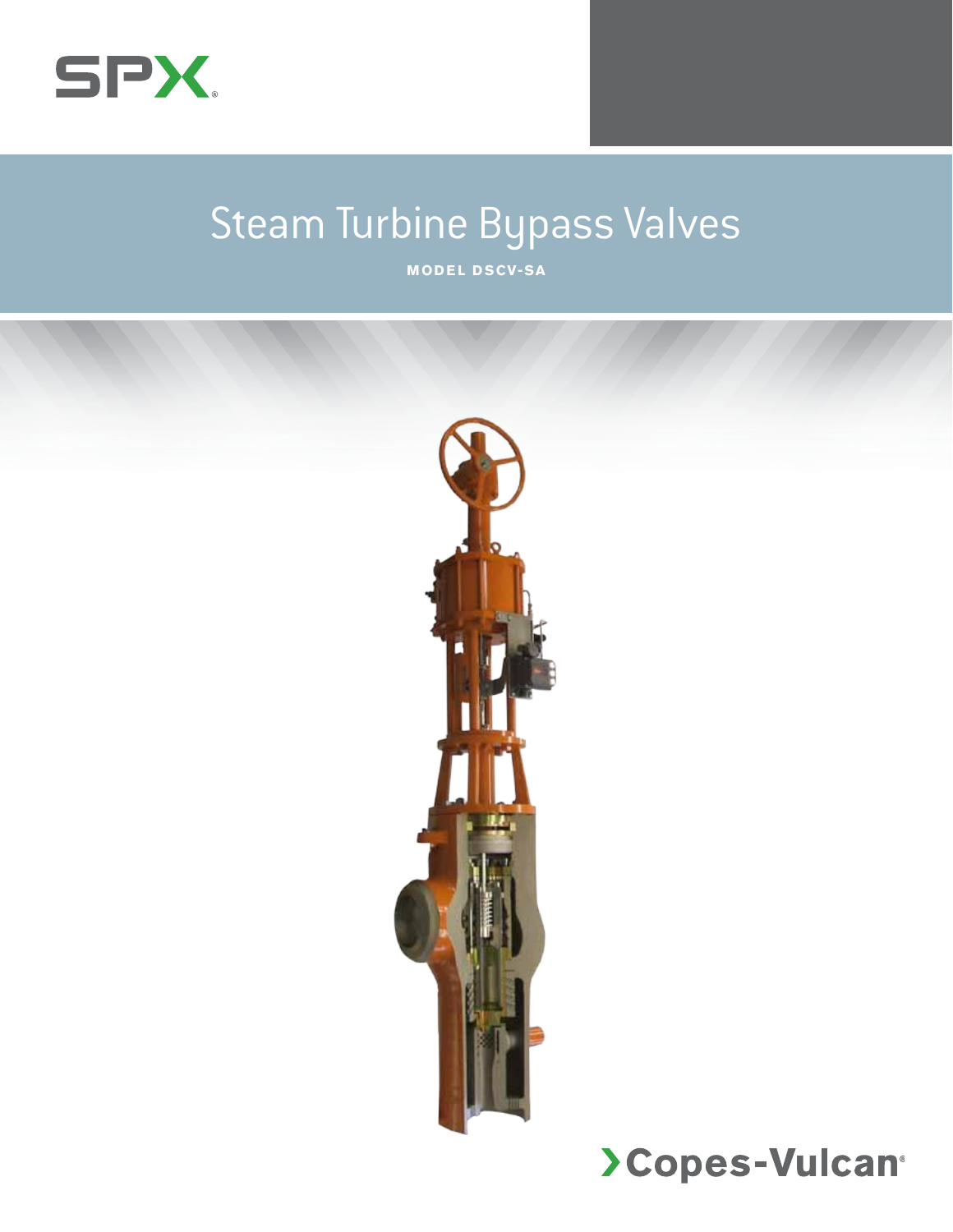

## Steam Turbine Bypass Valves

**Model D SCV-SA**

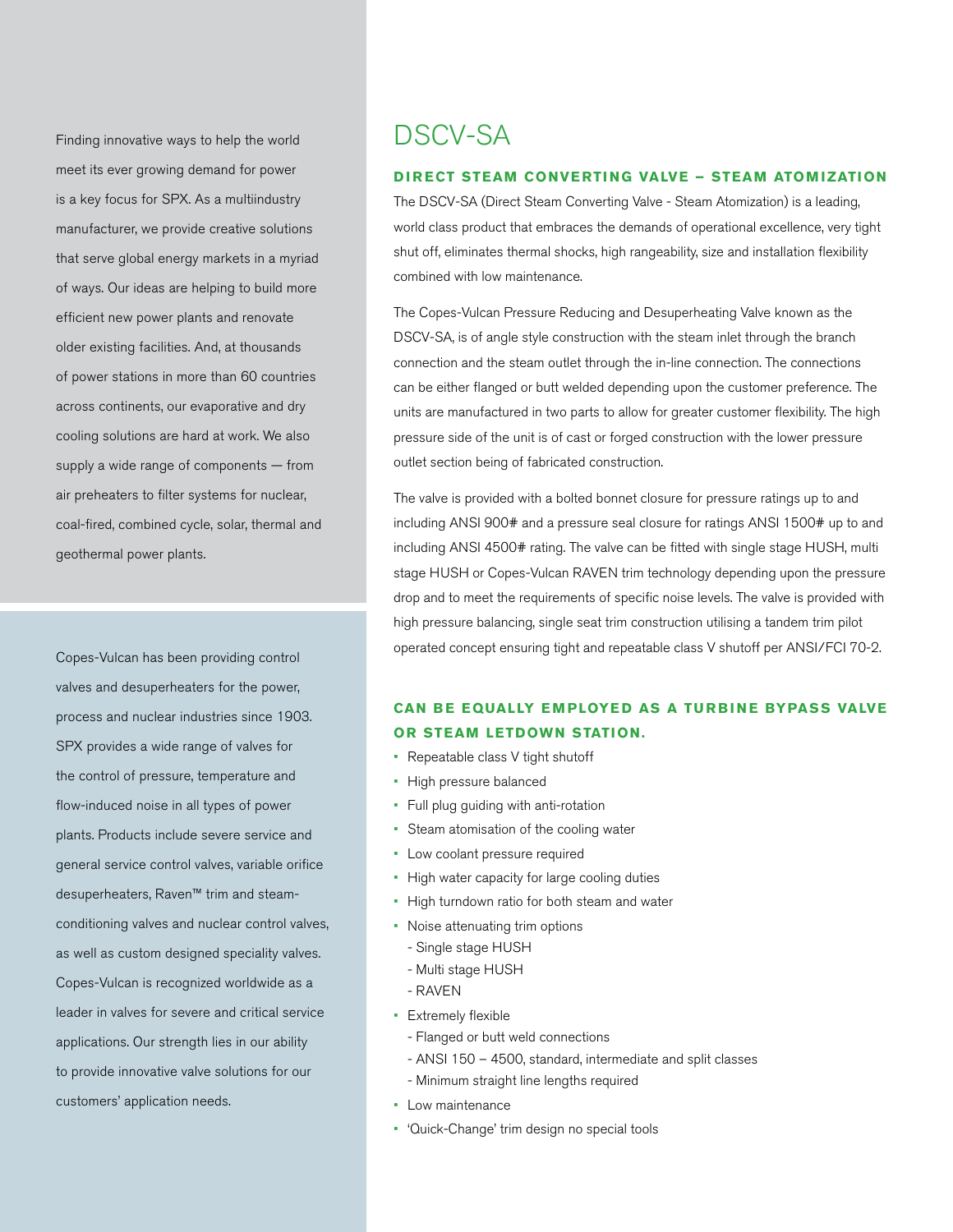Finding innovative ways to help the world meet its ever growing demand for power is a key focus for SPX. As a multiindustry manufacturer, we provide creative solutions that serve global energy markets in a myriad of ways. Our ideas are helping to build more efficient new power plants and renovate older existing facilities. And, at thousands of power stations in more than 60 countries across continents, our evaporative and dry cooling solutions are hard at work. We also supply a wide range of components — from air preheaters to filter systems for nuclear, coal-fired, combined cycle, solar, thermal and geothermal power plants.

Copes-Vulcan has been providing control valves and desuperheaters for the power, process and nuclear industries since 1903. SPX provides a wide range of valves for the control of pressure, temperature and flow-induced noise in all types of power plants. Products include severe service and general service control valves, variable orifice desuperheaters, Raven™ trim and steamconditioning valves and nuclear control valves, as well as custom designed speciality valves. Copes-Vulcan is recognized worldwide as a leader in valves for severe and critical service applications. Our strength lies in our ability to provide innovative valve solutions for our customers' application needs.

## DSCV-SA

#### **DIRECT STEAM CONVERTING VALVE – STEAM ATOMIZATION**

The DSCV-SA (Direct Steam Converting Valve - Steam Atomization) is a leading, world class product that embraces the demands of operational excellence, very tight shut off, eliminates thermal shocks, high rangeability, size and installation flexibility combined with low maintenance.

The Copes-Vulcan Pressure Reducing and Desuperheating Valve known as the DSCV-SA, is of angle style construction with the steam inlet through the branch connection and the steam outlet through the in-line connection. The connections can be either flanged or butt welded depending upon the customer preference. The units are manufactured in two parts to allow for greater customer flexibility. The high pressure side of the unit is of cast or forged construction with the lower pressure outlet section being of fabricated construction.

The valve is provided with a bolted bonnet closure for pressure ratings up to and including ANSI 900# and a pressure seal closure for ratings ANSI 1500# up to and including ANSI 4500# rating. The valve can be fitted with single stage HUSH, multi stage HUSH or Copes-Vulcan RAVEN trim technology depending upon the pressure drop and to meet the requirements of specific noise levels. The valve is provided with high pressure balancing, single seat trim construction utilising a tandem trim pilot operated concept ensuring tight and repeatable class V shutoff per ANSI/FCI 70-2.

### **Can be equally employed as a turbine bypass valve or steam letdown station.**

- Repeatable class V tight shutoff
- • High pressure balanced
- • Full plug guiding with anti-rotation
- Steam atomisation of the cooling water
- Low coolant pressure required
- High water capacity for large cooling duties
- High turndown ratio for both steam and water
- Noise attenuating trim options
	- Single stage HUSH
	- Multi stage HUSH
- RAVEN
- • Extremely flexible
	- Flanged or butt weld connections
	- ANSI 150 4500, standard, intermediate and split classes
	- Minimum straight line lengths required
- • Low maintenance
- • 'Quick-Change' trim design no special tools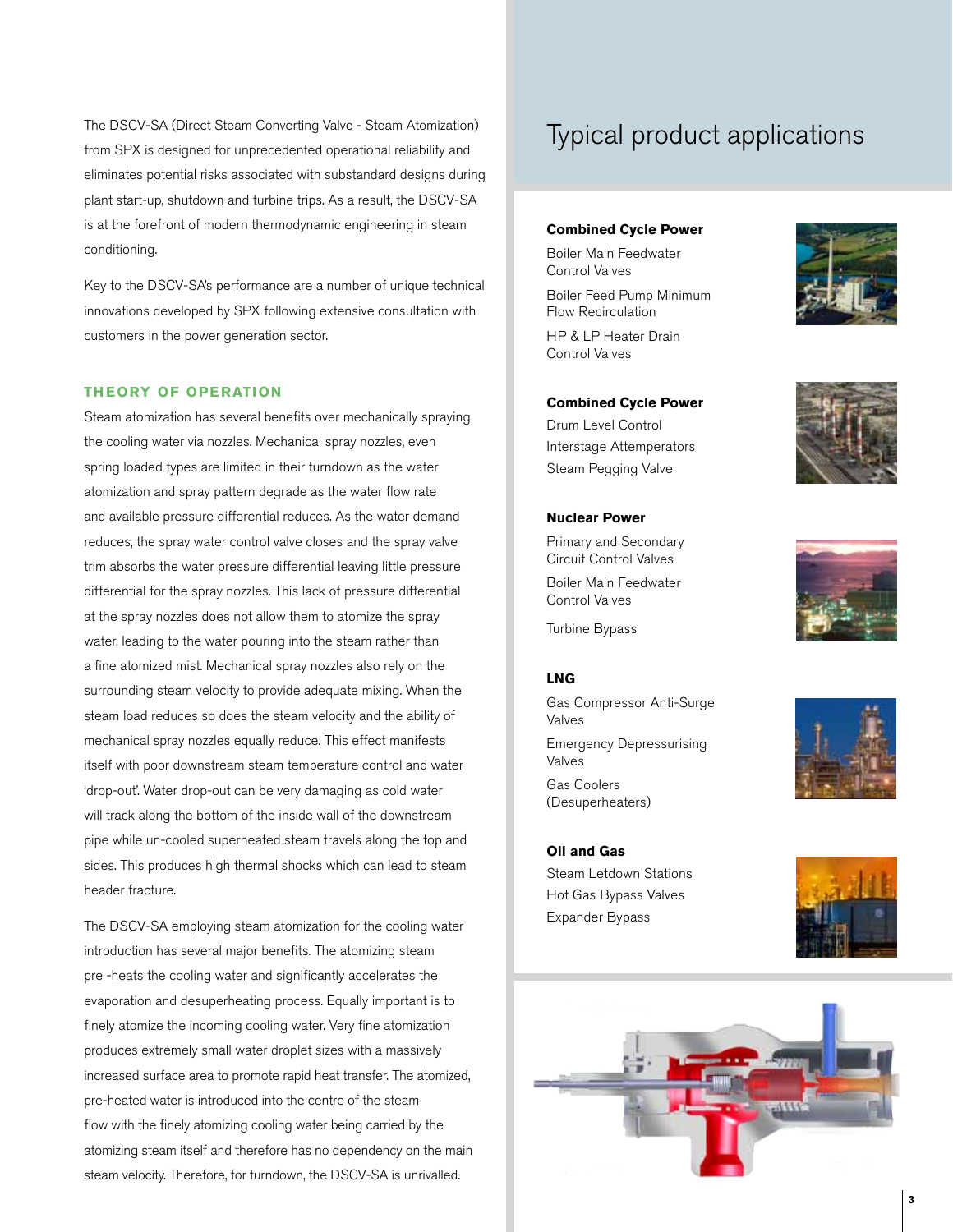The DSCV-SA (Direct Steam Converting Valve - Steam Atomization) Typical product applications from SPX is designed for unprecedented operational reliability and eliminates potential risks associated with substandard designs during plant start-up, shutdown and turbine trips. As a result, the DSCV-SA is at the forefront of modern thermodynamic engineering in steam conditioning.

Key to the DSCV-SA's performance are a number of unique technical innovations developed by SPX following extensive consultation with customers in the power generation sector.

#### **Theory of Operation**

Steam atomization has several benefits over mechanically spraying the cooling water via nozzles. Mechanical spray nozzles, even spring loaded types are limited in their turndown as the water atomization and spray pattern degrade as the water flow rate and available pressure differential reduces. As the water demand reduces, the spray water control valve closes and the spray valve trim absorbs the water pressure differential leaving little pressure differential for the spray nozzles. This lack of pressure differential at the spray nozzles does not allow them to atomize the spray water, leading to the water pouring into the steam rather than a fine atomized mist. Mechanical spray nozzles also rely on the surrounding steam velocity to provide adequate mixing. When the steam load reduces so does the steam velocity and the ability of mechanical spray nozzles equally reduce. This effect manifests itself with poor downstream steam temperature control and water 'drop-out'. Water drop-out can be very damaging as cold water will track along the bottom of the inside wall of the downstream pipe while un-cooled superheated steam travels along the top and sides. This produces high thermal shocks which can lead to steam header fracture.

The DSCV-SA employing steam atomization for the cooling water introduction has several major benefits. The atomizing steam pre -heats the cooling water and significantly accelerates the evaporation and desuperheating process. Equally important is to finely atomize the incoming cooling water. Very fine atomization produces extremely small water droplet sizes with a massively increased surface area to promote rapid heat transfer. The atomized, pre-heated water is introduced into the centre of the steam flow with the finely atomizing cooling water being carried by the atomizing steam itself and therefore has no dependency on the main steam velocity. Therefore, for turndown, the DSCV-SA is unrivalled.

#### **Combined Cycle Power**

Boiler Main Feedwater Control Valves

Boiler Feed Pump Minimum Flow Recirculation HP & LP Heater Drain Control Valves

#### **Combined Cycle Power**

Drum Level Control Interstage Attemperators Steam Pegging Valve

Primary and Secondary Circuit Control Valves Boiler Main Feedwater Control Valves Turbine Bypass

**Nuclear Power**





#### **LNG**

Gas Compressor Anti-Surge Valves Emergency Depressurising

Valves

Gas Coolers (Desuperheaters)

**Oil and Gas** Steam Letdown Stations Hot Gas Bypass Valves Expander Bypass







**3**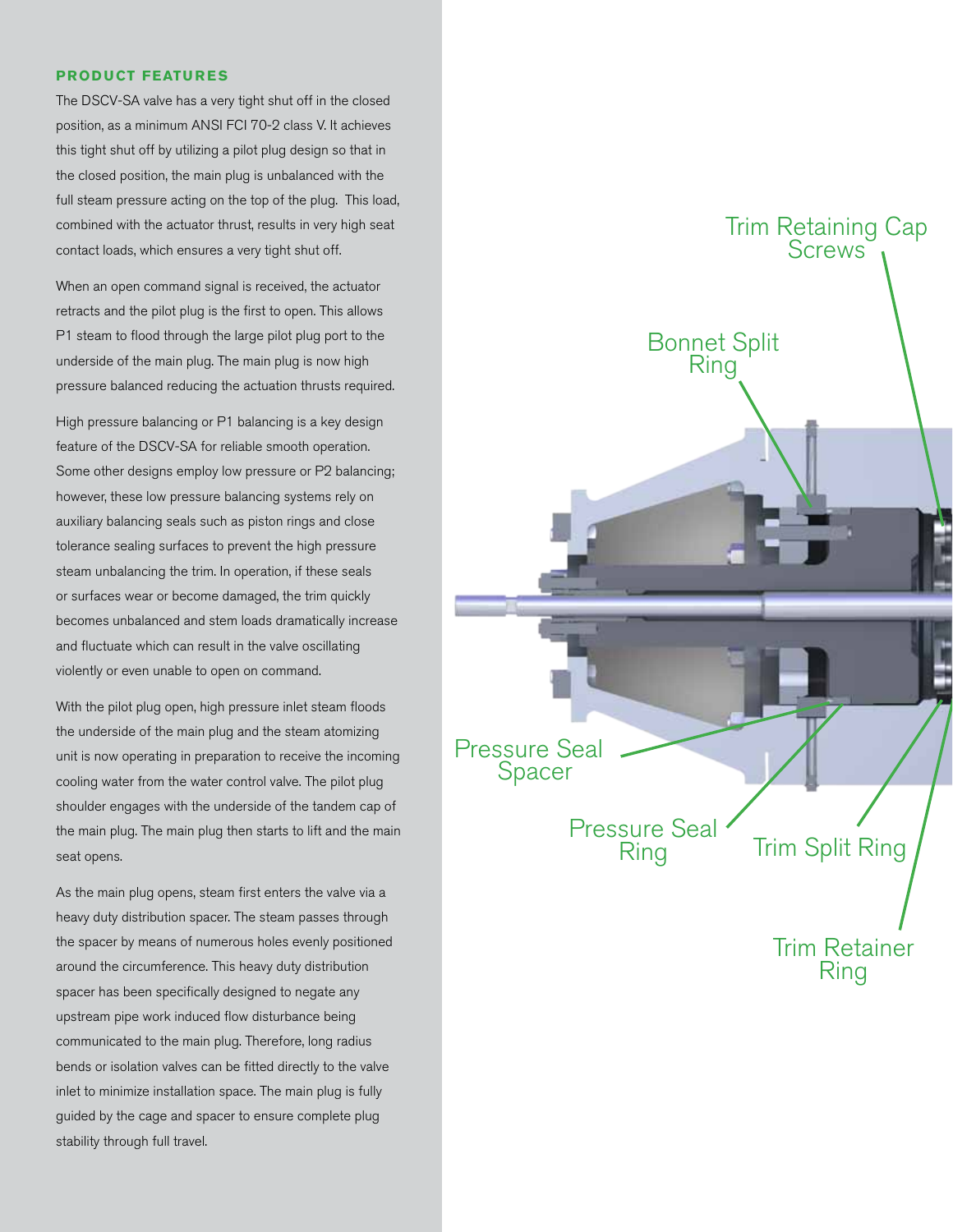#### **Product Features**

The DSCV-SA valve has a very tight shut off in the closed position, as a minimum ANSI FCI 70-2 class V. It achieves this tight shut off by utilizing a pilot plug design so that in the closed position, the main plug is unbalanced with the full steam pressure acting on the top of the plug. This load, combined with the actuator thrust, results in very high seat contact loads, which ensures a very tight shut off.

When an open command signal is received, the actuator retracts and the pilot plug is the first to open. This allows P1 steam to flood through the large pilot plug port to the underside of the main plug. The main plug is now high pressure balanced reducing the actuation thrusts required.

High pressure balancing or P1 balancing is a key design feature of the DSCV-SA for reliable smooth operation. Some other designs employ low pressure or P2 balancing; however, these low pressure balancing systems rely on auxiliary balancing seals such as piston rings and close tolerance sealing surfaces to prevent the high pressure steam unbalancing the trim. In operation, if these seals or surfaces wear or become damaged, the trim quickly becomes unbalanced and stem loads dramatically increase and fluctuate which can result in the valve oscillating violently or even unable to open on command.

With the pilot plug open, high pressure inlet steam floods the underside of the main plug and the steam atomizing unit is now operating in preparation to receive the incoming cooling water from the water control valve. The pilot plug shoulder engages with the underside of the tandem cap of the main plug. The main plug then starts to lift and the main seat opens.

As the main plug opens, steam first enters the valve via a heavy duty distribution spacer. The steam passes through the spacer by means of numerous holes evenly positioned around the circumference. This heavy duty distribution spacer has been specifically designed to negate any upstream pipe work induced flow disturbance being communicated to the main plug. Therefore, long radius bends or isolation valves can be fitted directly to the valve inlet to minimize installation space. The main plug is fully guided by the cage and spacer to ensure complete plug stability through full travel.

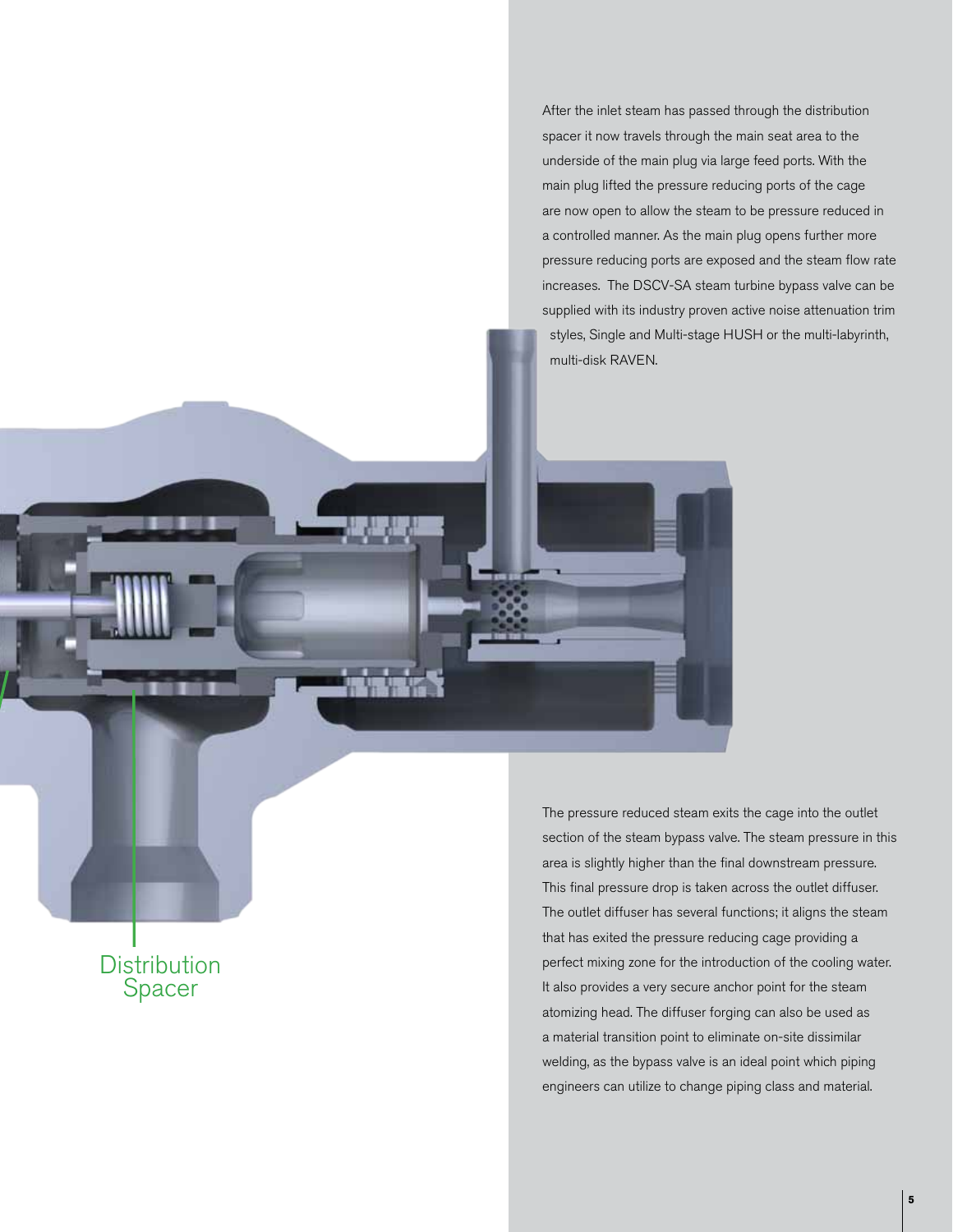After the inlet steam has passed through the distribution spacer it now travels through the main seat area to the underside of the main plug via large feed ports. With the main plug lifted the pressure reducing ports of the cage are now open to allow the steam to be pressure reduced in a controlled manner. As the main plug opens further more pressure reducing ports are exposed and the steam flow rate increases. The DSCV-SA steam turbine bypass valve can be supplied with its industry proven active noise attenuation trim styles, Single and Multi-stage HUSH or the multi-labyrinth, multi-disk RAVEN.

**Distribution** Spacer

The pressure reduced steam exits the cage into the outlet section of the steam bypass valve. The steam pressure in this area is slightly higher than the final downstream pressure. This final pressure drop is taken across the outlet diffuser. The outlet diffuser has several functions; it aligns the steam that has exited the pressure reducing cage providing a perfect mixing zone for the introduction of the cooling water. It also provides a very secure anchor point for the steam atomizing head. The diffuser forging can also be used as a material transition point to eliminate on-site dissimilar welding, as the bypass valve is an ideal point which piping engineers can utilize to change piping class and material.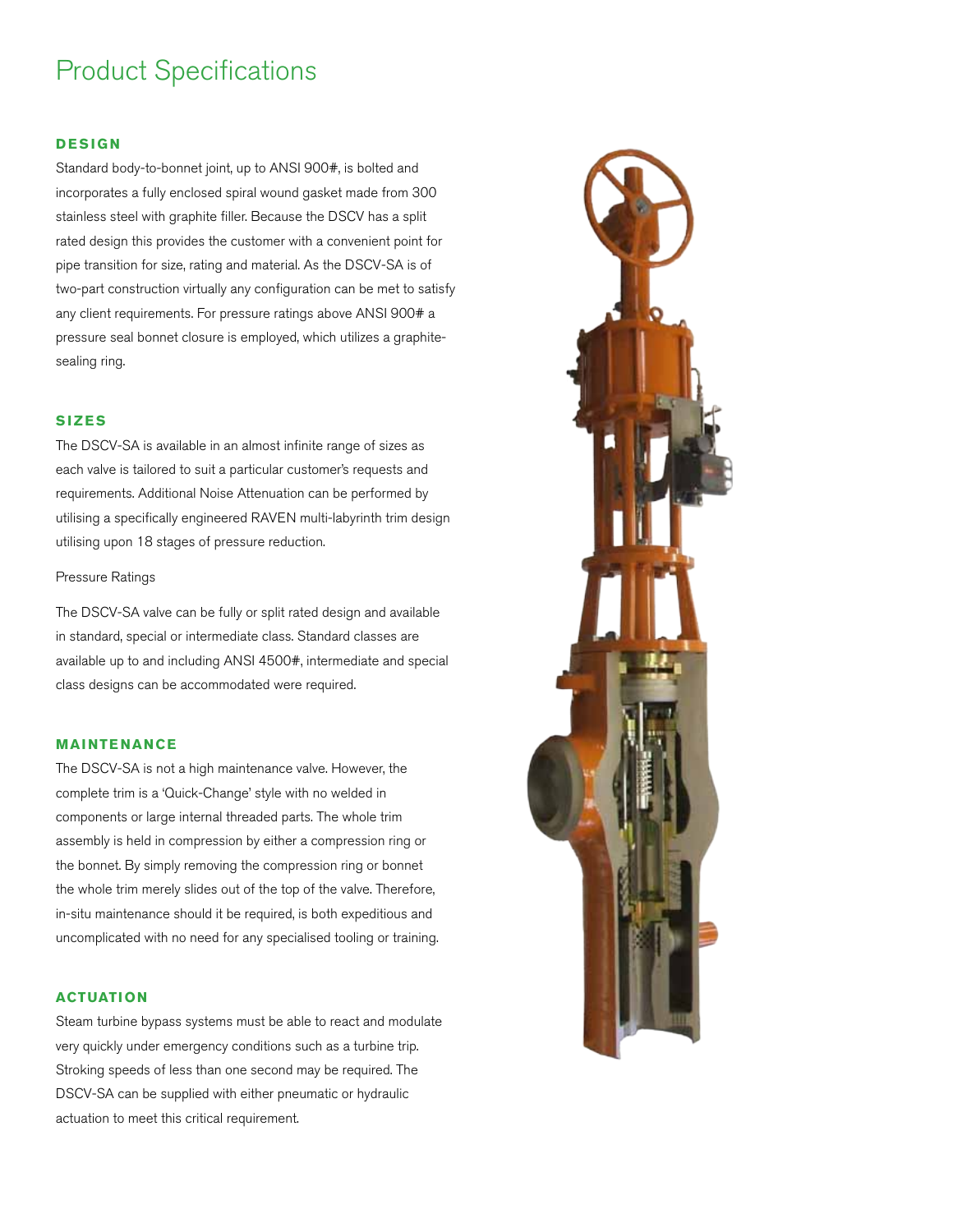## Product Specifications

#### **D esign**

Standard body-to-bonnet joint, up to ANSI 900#, is bolted and incorporates a fully enclosed spiral wound gasket made from 300 stainless steel with graphite filler. Because the DSCV has a split rated design this provides the customer with a convenient point for pipe transition for size, rating and material. As the DSCV-SA is of two-part construction virtually any configuration can be met to satisfy any client requirements. For pressure ratings above ANSI 900# a pressure seal bonnet closure is employed, which utilizes a graphitesealing ring.

#### **Sizes**

The DSCV-SA is available in an almost infinite range of sizes as each valve is tailored to suit a particular customer's requests and requirements. Additional Noise Attenuation can be performed by utilising a specifically engineered RAVEN multi-labyrinth trim design utilising upon 18 stages of pressure reduction.

#### Pressure Ratings

The DSCV-SA valve can be fully or split rated design and available in standard, special or intermediate class. Standard classes are available up to and including ANSI 4500#, intermediate and special class designs can be accommodated were required.

#### **Maintenance**

The DSCV-SA is not a high maintenance valve. However, the complete trim is a 'Quick-Change' style with no welded in components or large internal threaded parts. The whole trim assembly is held in compression by either a compression ring or the bonnet. By simply removing the compression ring or bonnet the whole trim merely slides out of the top of the valve. Therefore, in-situ maintenance should it be required, is both expeditious and uncomplicated with no need for any specialised tooling or training.

#### **Actuation**

Steam turbine bypass systems must be able to react and modulate very quickly under emergency conditions such as a turbine trip. Stroking speeds of less than one second may be required. The DSCV-SA can be supplied with either pneumatic or hydraulic actuation to meet this critical requirement.

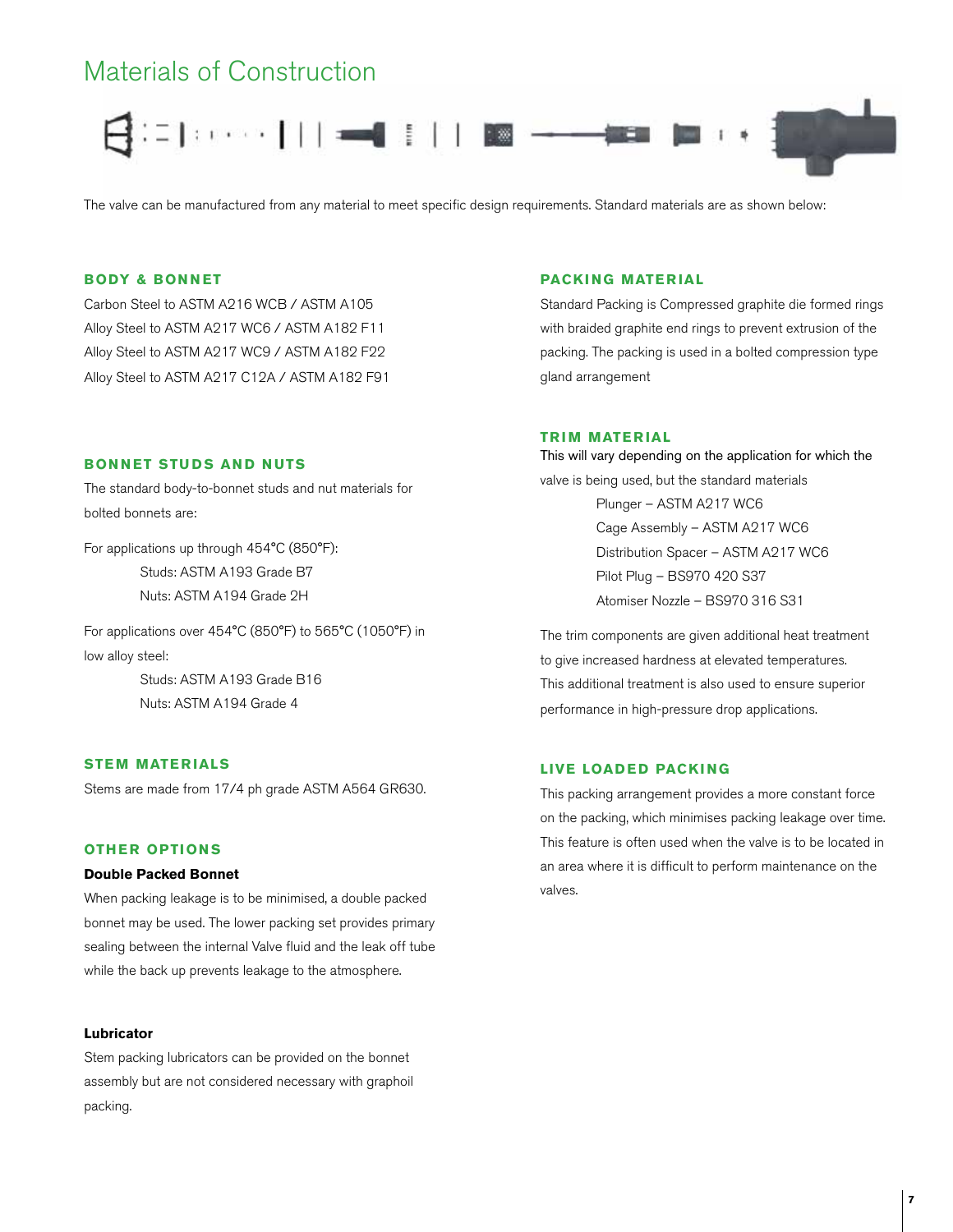## Materials of Construction



The valve can be manufactured from any material to meet specific design requirements. Standard materials are as shown below:

#### **Body & Bonnet**

Carbon Steel to ASTM A216 WCB / ASTM A105 Alloy Steel to ASTM A217 WC6 / ASTM A182 F11 Alloy Steel to ASTM A217 WC9 / ASTM A182 F22 Alloy Steel to ASTM A217 C12A / ASTM A182 F91

#### **BONNET STUDS AND NUTS**

The standard body-to-bonnet studs and nut materials for bolted bonnets are:

For applications up through 454°C (850°F): Studs: ASTM A193 Grade B7 Nuts: ASTM A194 Grade 2H

Nuts: ASTM A194 Grade 4

For applications over 454°C (850°F) to 565°C (1050°F) in low alloy steel: Studs: ASTM A193 Grade B16

#### **Stem Materials**

Stems are made from 17/4 ph grade ASTM A564 GR630.

#### **Other Option s**

#### **Double Packed Bonnet**

When packing leakage is to be minimised, a double packed bonnet may be used. The lower packing set provides primary sealing between the internal Valve fluid and the leak off tube while the back up prevents leakage to the atmosphere.

#### **Lubricator**

Stem packing lubricators can be provided on the bonnet assembly but are not considered necessary with graphoil packing.

#### **Packing Material**

Standard Packing is Compressed graphite die formed rings with braided graphite end rings to prevent extrusion of the packing. The packing is used in a bolted compression type gland arrangement

#### **TRIM MATERIAL**

This will vary depending on the application for which the valve is being used, but the standard materials Plunger – ASTM A217 WC6 Cage Assembly – ASTM A217 WC6 Distribution Spacer – ASTM A217 WC6 Pilot Plug – BS970 420 S37 Atomiser Nozzle – BS970 316 S31

The trim components are given additional heat treatment to give increased hardness at elevated temperatures. This additional treatment is also used to ensure superior performance in high-pressure drop applications.

#### **Live Loaded Packing**

This packing arrangement provides a more constant force on the packing, which minimises packing leakage over time. This feature is often used when the valve is to be located in an area where it is difficult to perform maintenance on the valves.